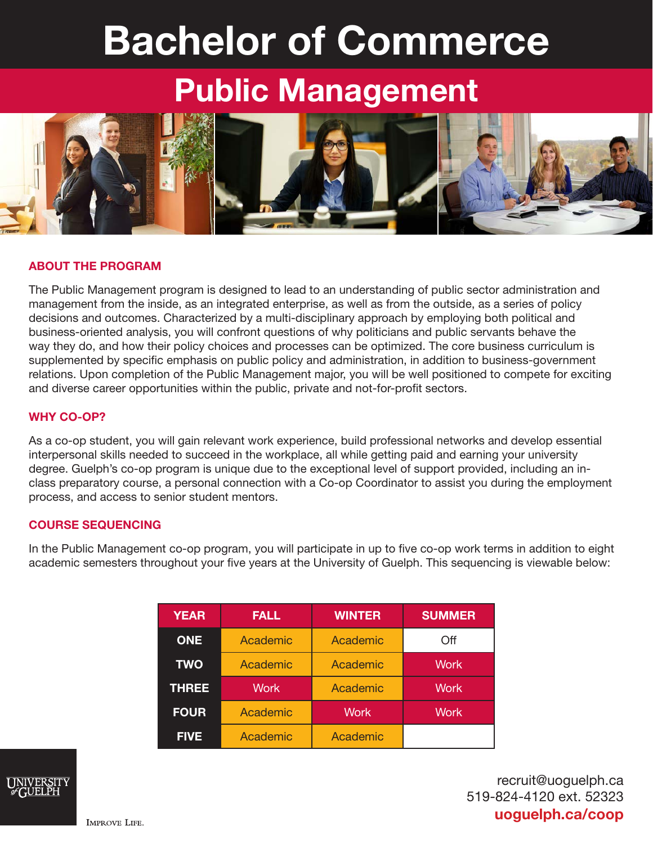# Bachelor of Commerce

## Public Management



#### ABOUT THE PROGRAM

The Public Management program is designed to lead to an understanding of public sector administration and management from the inside, as an integrated enterprise, as well as from the outside, as a series of policy decisions and outcomes. Characterized by a multi-disciplinary approach by employing both political and business-oriented analysis, you will confront questions of why politicians and public servants behave the way they do, and how their policy choices and processes can be optimized. The core business curriculum is supplemented by specific emphasis on public policy and administration, in addition to business-government relations. Upon completion of the Public Management major, you will be well positioned to compete for exciting and diverse career opportunities within the public, private and not-for-profit sectors.

#### WHY CO-OP?

As a co-op student, you will gain relevant work experience, build professional networks and develop essential interpersonal skills needed to succeed in the workplace, all while getting paid and earning your university degree. Guelph's co-op program is unique due to the exceptional level of support provided, including an inclass preparatory course, a personal connection with a Co-op Coordinator to assist you during the employment process, and access to senior student mentors.

#### COURSE SEQUENCING

In the Public Management co-op program, you will participate in up to five co-op work terms in addition to eight academic semesters throughout your five years at the University of Guelph. This sequencing is viewable below:

| <b>YEAR</b>  | <b>FALL</b> | <b>WINTER</b> | <b>SUMMER</b> |
|--------------|-------------|---------------|---------------|
| <b>ONE</b>   | Academic    | Academic      | Off           |
| <b>TWO</b>   | Academic    | Academic      | <b>Work</b>   |
| <b>THREE</b> | <b>Work</b> | Academic      | <b>Work</b>   |
| <b>FOUR</b>  | Academic    | <b>Work</b>   | <b>Work</b>   |
| <b>FIVE</b>  | Academic    | Academic      |               |



recruit@uoguelph.ca 519-824-4120 ext. 52323 uoguelph.ca/coop